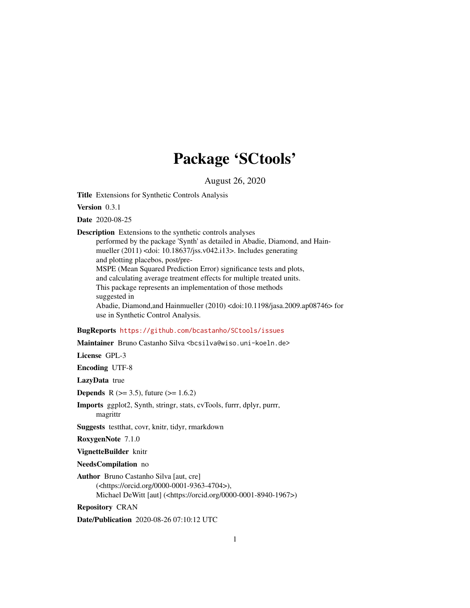## Package 'SCtools'

August 26, 2020

<span id="page-0-0"></span>Title Extensions for Synthetic Controls Analysis

Version 0.3.1

Date 2020-08-25

Description Extensions to the synthetic controls analyses

performed by the package 'Synth' as detailed in Abadie, Diamond, and Hainmueller (2011) <doi: 10.18637/jss.v042.i13>. Includes generating and plotting placebos, post/pre-MSPE (Mean Squared Prediction Error) significance tests and plots, and calculating average treatment effects for multiple treated units. This package represents an implementation of those methods suggested in Abadie, Diamond,and Hainmueller (2010) <doi:10.1198/jasa.2009.ap08746> for use in Synthetic Control Analysis.

#### BugReports <https://github.com/bcastanho/SCtools/issues>

Maintainer Bruno Castanho Silva <br/>bosilva@wiso.uni-koeln.de>

License GPL-3

Encoding UTF-8

LazyData true

**Depends** R ( $>= 3.5$ ), future ( $>= 1.6.2$ )

Imports ggplot2, Synth, stringr, stats, cvTools, furrr, dplyr, purrr, magrittr

Suggests testthat, covr, knitr, tidyr, rmarkdown

RoxygenNote 7.1.0

VignetteBuilder knitr

NeedsCompilation no

Author Bruno Castanho Silva [aut, cre] (<https://orcid.org/0000-0001-9363-4704>), Michael DeWitt [aut] (<https://orcid.org/0000-0001-8940-1967>)

Repository CRAN

Date/Publication 2020-08-26 07:10:12 UTC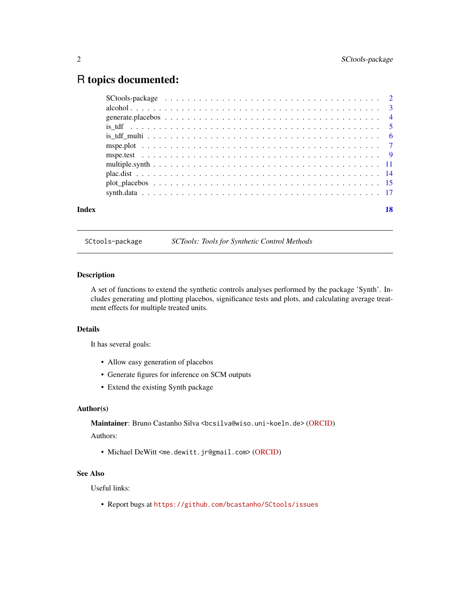## <span id="page-1-0"></span>R topics documented:

| Index | 18 |
|-------|----|

SCtools-package *SCTools: Tools for Synthetic Control Methods*

#### Description

A set of functions to extend the synthetic controls analyses performed by the package 'Synth'. Includes generating and plotting placebos, significance tests and plots, and calculating average treatment effects for multiple treated units.

#### Details

It has several goals:

- Allow easy generation of placebos
- Generate figures for inference on SCM outputs
- Extend the existing Synth package

#### Author(s)

Maintainer: Bruno Castanho Silva <br/>bcsilva@wiso.uni-koeln.de> [\(ORCID\)](https://orcid.org/0000-0001-9363-4704)

#### Authors:

• Michael DeWitt <me.dewitt.jr@gmail.com> [\(ORCID\)](https://orcid.org/0000-0001-8940-1967)

### See Also

Useful links:

• Report bugs at <https://github.com/bcastanho/SCtools/issues>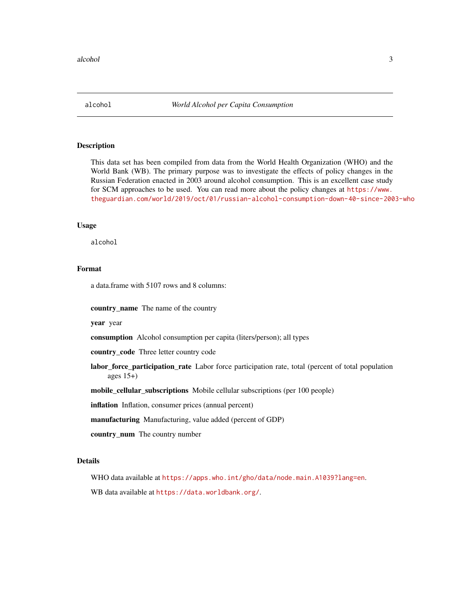<span id="page-2-0"></span>

This data set has been compiled from data from the World Health Organization (WHO) and the World Bank (WB). The primary purpose was to investigate the effects of policy changes in the Russian Federation enacted in 2003 around alcohol consumption. This is an excellent case study for SCM approaches to be used. You can read more about the policy changes at [https://www.](https://www.theguardian.com/world/2019/oct/01/russian-alcohol-consumption-down-40-since-2003-who) [theguardian.com/world/2019/oct/01/russian-alcohol-consumption-down-40-since-2003-who](https://www.theguardian.com/world/2019/oct/01/russian-alcohol-consumption-down-40-since-2003-who)

#### Usage

alcohol

#### Format

a data.frame with 5107 rows and 8 columns:

country\_name The name of the country

year year

consumption Alcohol consumption per capita (liters/person); all types

country\_code Three letter country code

labor\_force\_participation\_rate Labor force participation rate, total (percent of total population ages 15+)

mobile\_cellular\_subscriptions Mobile cellular subscriptions (per 100 people)

inflation Inflation, consumer prices (annual percent)

manufacturing Manufacturing, value added (percent of GDP)

country\_num The country number

#### Details

WHO data available at <https://apps.who.int/gho/data/node.main.A1039?lang=en>. WB data available at <https://data.worldbank.org/>.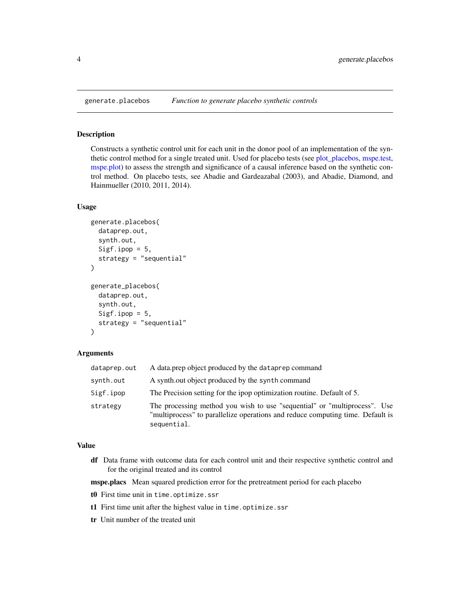<span id="page-3-1"></span><span id="page-3-0"></span>

Constructs a synthetic control unit for each unit in the donor pool of an implementation of the synthetic control method for a single treated unit. Used for placebo tests (see [plot\\_placebos,](#page-14-1) [mspe.test,](#page-8-1) [mspe.plot\)](#page-6-1) to assess the strength and significance of a causal inference based on the synthetic control method. On placebo tests, see Abadie and Gardeazabal (2003), and Abadie, Diamond, and Hainmueller (2010, 2011, 2014).

#### Usage

```
generate.placebos(
  dataprep.out,
  synth.out,
  Sigf.ipop = 5,
  strategy = "sequential"
\lambdagenerate_placebos(
  dataprep.out,
  synth.out,
  Sigf.ipop = 5,
  strategy = "sequential"
)
```
#### Arguments

| dataprep.out | A data.prep object produced by the dataprep command                                                                                                                        |
|--------------|----------------------------------------------------------------------------------------------------------------------------------------------------------------------------|
| synth.out    | A synthout object produced by the synth command                                                                                                                            |
| Sigf.ipop    | The Precision setting for the ipop optimization routine. Default of 5.                                                                                                     |
| strategy     | The processing method you wish to use "sequential" or "multiprocess". Use<br>"multiprocess" to parallelize operations and reduce computing time. Default is<br>sequential. |

#### Value

df Data frame with outcome data for each control unit and their respective synthetic control and for the original treated and its control

mspe.placs Mean squared prediction error for the pretreatment period for each placebo

- t0 First time unit in time.optimize.ssr
- t1 First time unit after the highest value in time.optimize.ssr
- tr Unit number of the treated unit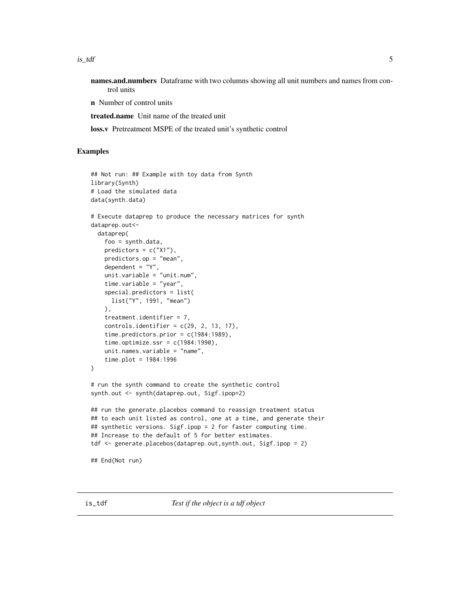<span id="page-4-0"></span> $is\_tdf$  5

names.and.numbers Dataframe with two columns showing all unit numbers and names from control units

n Number of control units

treated.name Unit name of the treated unit

loss.v Pretreatment MSPE of the treated unit's synthetic control

#### Examples

```
## Not run: ## Example with toy data from Synth
library(Synth)
# Load the simulated data
data(synth.data)
# Execute dataprep to produce the necessary matrices for synth
dataprep.out<-
 dataprep(
    foo = synth.data,
   predictors = c("X1"),
   predictors.op = "mean",
   dependent = "Y",
   unit.variable = "unit.num",
    time.variable = "year",
   special.predictors = list(
     list("Y", 1991, "mean")
    ),
    treatment.identifier = 7,
    controls.identifier = c(29, 2, 13, 17),time.predictors.prior = c(1984:1989),
    time.optimize.ssr = c(1984:1990),
   unit.names.variable = "name",
    time.plot = 1984:1996
\mathcal{L}# run the synth command to create the synthetic control
synth.out <- synth(dataprep.out, Sigf.ipop=2)
## run the generate.placebos command to reassign treatment status
## to each unit listed as control, one at a time, and generate their
## synthetic versions. Sigf.ipop = 2 for faster computing time.
## Increase to the default of 5 for better estimates.
tdf <- generate.placebos(dataprep.out, synth.out, Sigf.ipop = 2)
## End(Not run)
```
is\_tdf *Test if the object is a tdf object*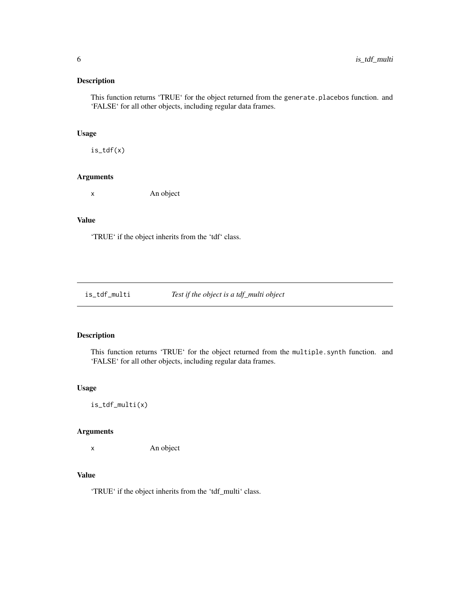<span id="page-5-0"></span>This function returns 'TRUE' for the object returned from the generate.placebos function. and 'FALSE' for all other objects, including regular data frames.

#### Usage

is\_tdf(x)

#### Arguments

x An object

#### Value

'TRUE' if the object inherits from the 'tdf' class.

is\_tdf\_multi *Test if the object is a tdf\_multi object*

#### Description

This function returns 'TRUE' for the object returned from the multiple.synth function. and 'FALSE' for all other objects, including regular data frames.

#### Usage

is\_tdf\_multi(x)

#### Arguments

x An object

#### Value

'TRUE' if the object inherits from the 'tdf\_multi' class.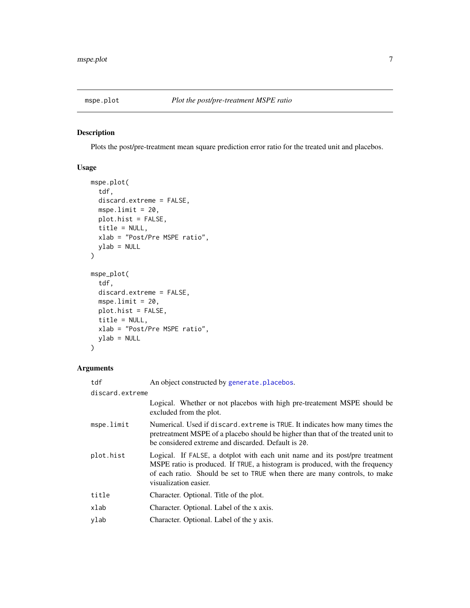<span id="page-6-1"></span><span id="page-6-0"></span>

Plots the post/pre-treatment mean square prediction error ratio for the treated unit and placebos.

#### Usage

```
mspe.plot(
  tdf,
  discard.extreme = FALSE,
 mspe.limit = 20,
 plot.hist = FALSE,
  title = NULL,
 xlab = "Post/Pre MSPE ratio",
 ylab = NULL
\mathcal{L}mspe_plot(
  tdf,
 discard.extreme = FALSE,
 mspe.limit = 20,
 plot.hist = FALSE,
  title = NULL,
 xlab = "Post/Pre MSPE ratio",
 ylab = NULL
)
```
#### Arguments

| tdf             | An object constructed by generate.placebos.                                                                                                                                                                                                                        |
|-----------------|--------------------------------------------------------------------------------------------------------------------------------------------------------------------------------------------------------------------------------------------------------------------|
| discard.extreme |                                                                                                                                                                                                                                                                    |
|                 | Logical. Whether or not placebos with high pre-treatement MSPE should be<br>excluded from the plot.                                                                                                                                                                |
| mspe.limit      | Numerical. Used if discard. extreme is TRUE. It indicates how many times the<br>pretreatment MSPE of a placebo should be higher than that of the treated unit to<br>be considered extreme and discarded. Default is 20.                                            |
| plot.hist       | Logical. If FALSE, a dotplot with each unit name and its post/pre treatment<br>MSPE ratio is produced. If TRUE, a histogram is produced, with the frequency<br>of each ratio. Should be set to TRUE when there are many controls, to make<br>visualization easier. |
| title           | Character. Optional. Title of the plot.                                                                                                                                                                                                                            |
| xlab            | Character. Optional. Label of the x axis.                                                                                                                                                                                                                          |
| ylab            | Character. Optional. Label of the y axis.                                                                                                                                                                                                                          |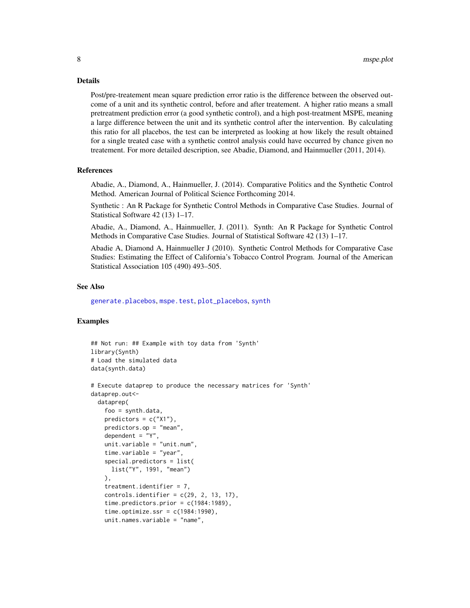#### <span id="page-7-0"></span>Details

Post/pre-treatement mean square prediction error ratio is the difference between the observed outcome of a unit and its synthetic control, before and after treatement. A higher ratio means a small pretreatment prediction error (a good synthetic control), and a high post-treatment MSPE, meaning a large difference between the unit and its synthetic control after the intervention. By calculating this ratio for all placebos, the test can be interpreted as looking at how likely the result obtained for a single treated case with a synthetic control analysis could have occurred by chance given no treatement. For more detailed description, see Abadie, Diamond, and Hainmueller (2011, 2014).

#### References

Abadie, A., Diamond, A., Hainmueller, J. (2014). Comparative Politics and the Synthetic Control Method. American Journal of Political Science Forthcoming 2014.

Synthetic : An R Package for Synthetic Control Methods in Comparative Case Studies. Journal of Statistical Software 42 (13) 1–17.

Abadie, A., Diamond, A., Hainmueller, J. (2011). Synth: An R Package for Synthetic Control Methods in Comparative Case Studies. Journal of Statistical Software 42 (13) 1–17.

Abadie A, Diamond A, Hainmueller J (2010). Synthetic Control Methods for Comparative Case Studies: Estimating the Effect of California's Tobacco Control Program. Journal of the American Statistical Association 105 (490) 493–505.

#### See Also

[generate.placebos](#page-3-1), [mspe.test](#page-8-1), [plot\\_placebos](#page-14-1), [synth](#page-0-0)

```
## Not run: ## Example with toy data from 'Synth'
library(Synth)
# Load the simulated data
data(synth.data)
# Execute dataprep to produce the necessary matrices for 'Synth'
dataprep.out<-
 dataprep(
   foo = synth.data,
   predictors = c("X1"),
   predictors.op = "mean",
   dependent = "Y",unit.variable = "unit.num",
    time.variable = "year",
    special.predictors = list(
     list("Y", 1991, "mean")
   ),
    treatment.identifier = 7,
    controls.identifier = c(29, 2, 13, 17),time.predictors.prior = c(1984:1989),
    time.optimize.ssr = c(1984:1990),
   unit.names.variable = "name",
```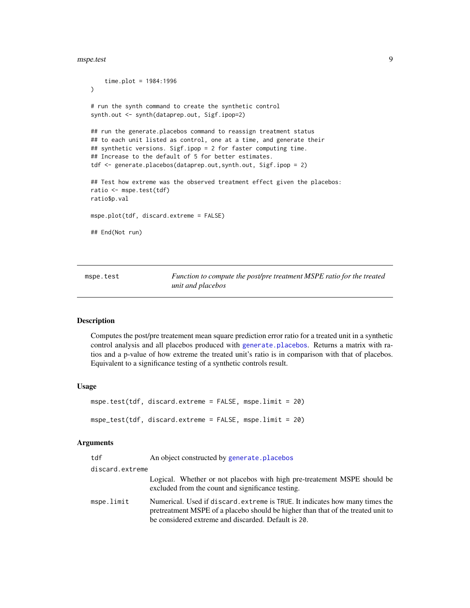<span id="page-8-0"></span>mspe.test 9

```
time.plot = 1984:1996
)
# run the synth command to create the synthetic control
synth.out <- synth(dataprep.out, Sigf.ipop=2)
## run the generate.placebos command to reassign treatment status
## to each unit listed as control, one at a time, and generate their
## synthetic versions. Sigf.ipop = 2 for faster computing time.
## Increase to the default of 5 for better estimates.
tdf <- generate.placebos(dataprep.out, synth.out, Sigf.ipop = 2)
## Test how extreme was the observed treatment effect given the placebos:
ratio <- mspe.test(tdf)
ratio$p.val
mspe.plot(tdf, discard.extreme = FALSE)
## End(Not run)
```
<span id="page-8-1"></span>mspe.test *Function to compute the post/pre treatment MSPE ratio for the treated unit and placebos*

#### **Description**

Computes the post/pre treatement mean square prediction error ratio for a treated unit in a synthetic control analysis and all placebos produced with [generate.placebos](#page-3-1). Returns a matrix with ratios and a p-value of how extreme the treated unit's ratio is in comparison with that of placebos. Equivalent to a significance testing of a synthetic controls result.

#### Usage

```
mspe.test(tdf, discard.extreme = FALSE, mspe.limit = 20)
mspe_test(tdf, discard.extreme = FALSE, mspe.limit = 20)
```
#### Arguments

| tdf             | An object constructed by generate. placebos                                                                                                                                                                             |
|-----------------|-------------------------------------------------------------------------------------------------------------------------------------------------------------------------------------------------------------------------|
| discard.extreme |                                                                                                                                                                                                                         |
|                 | Logical. Whether or not placebos with high pre-treatement MSPE should be<br>excluded from the count and significance testing.                                                                                           |
| mspe.limit      | Numerical. Used if discard. extreme is TRUE. It indicates how many times the<br>pretreatment MSPE of a placebo should be higher than that of the treated unit to<br>be considered extreme and discarded. Default is 20. |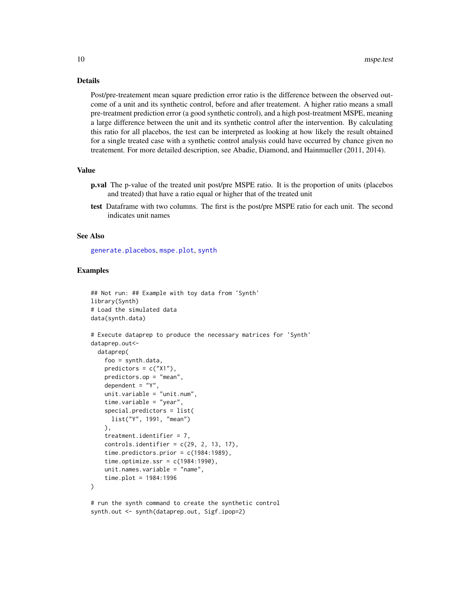#### <span id="page-9-0"></span>Details

Post/pre-treatement mean square prediction error ratio is the difference between the observed outcome of a unit and its synthetic control, before and after treatement. A higher ratio means a small pre-treatment prediction error (a good synthetic control), and a high post-treatment MSPE, meaning a large difference between the unit and its synthetic control after the intervention. By calculating this ratio for all placebos, the test can be interpreted as looking at how likely the result obtained for a single treated case with a synthetic control analysis could have occurred by chance given no treatement. For more detailed description, see Abadie, Diamond, and Hainmueller (2011, 2014).

#### Value

- p.val The p-value of the treated unit post/pre MSPE ratio. It is the proportion of units (placebos and treated) that have a ratio equal or higher that of the treated unit
- test Dataframe with two columns. The first is the post/pre MSPE ratio for each unit. The second indicates unit names

#### See Also

[generate.placebos](#page-3-1), [mspe.plot](#page-6-1), [synth](#page-0-0)

```
## Not run: ## Example with toy data from 'Synth'
library(Synth)
# Load the simulated data
data(synth.data)
# Execute dataprep to produce the necessary matrices for 'Synth'
dataprep.out<-
 dataprep(
   foo = synth.data,
   predictors = c("X1"),
   predictors.op = "mean",
   dependent = "Y",unit.variable = "unit.num",
    time.variable = "year",
    special.predictors = list(
     list("Y", 1991, "mean")
   ),
   treatment.identifier = 7,
   controls.identifier = c(29, 2, 13, 17),time.predictors.prior = c(1984:1989),
    time.optimize.ssr = c(1984:1990),
   unit.names.variable = "name",
    time.plot = 1984:1996
)
# run the synth command to create the synthetic control
```

```
synth.out <- synth(dataprep.out, Sigf.ipop=2)
```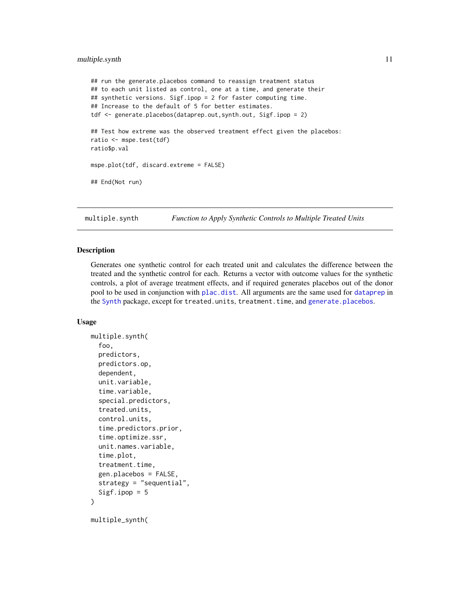#### <span id="page-10-0"></span>multiple.synth 11

```
## run the generate.placebos command to reassign treatment status
## to each unit listed as control, one at a time, and generate their
## synthetic versions. Sigf.ipop = 2 for faster computing time.
## Increase to the default of 5 for better estimates.
tdf <- generate.placebos(dataprep.out, synth.out, Sigf.ipop = 2)
## Test how extreme was the observed treatment effect given the placebos:
ratio <- mspe.test(tdf)
ratio$p.val
mspe.plot(tdf, discard.extreme = FALSE)
## End(Not run)
```
<span id="page-10-1"></span>multiple.synth *Function to Apply Synthetic Controls to Multiple Treated Units*

#### Description

Generates one synthetic control for each treated unit and calculates the difference between the treated and the synthetic control for each. Returns a vector with outcome values for the synthetic controls, a plot of average treatment effects, and if required generates placebos out of the donor pool to be used in conjunction with [plac.dist](#page-13-1). All arguments are the same used for [dataprep](#page-0-0) in the [Synth](#page-0-0) package, except for treated.units, treatment.time, and [generate.placebos](#page-3-1).

#### Usage

```
multiple.synth(
  foo,
  predictors,
 predictors.op,
  dependent,
  unit.variable,
  time.variable,
  special.predictors,
  treated.units,
  control.units,
  time.predictors.prior,
  time.optimize.ssr,
  unit.names.variable,
  time.plot,
  treatment.time,
  gen.placebos = FALSE,
  strategy = "sequential",
  Sigf.ipop = 5\lambda
```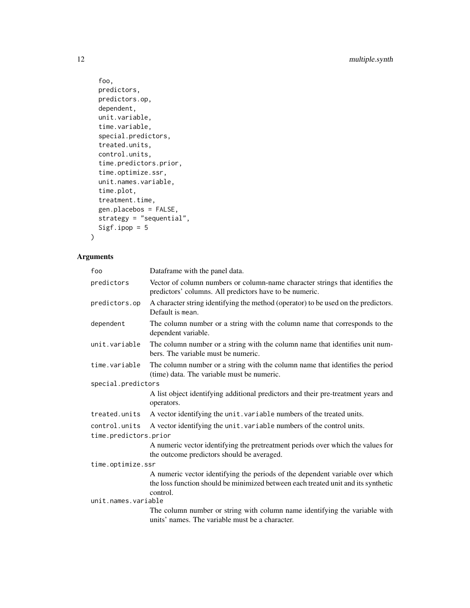```
foo,
 predictors,
 predictors.op,
  dependent,
  unit.variable,
  time.variable,
  special.predictors,
  treated.units,
  control.units,
  time.predictors.prior,
  time.optimize.ssr,
  unit.names.variable,
  time.plot,
  treatment.time,
  gen.placebos = FALSE,
 strategy = "sequential",
  Sigf.ipop = 5\mathcal{L}
```
#### Arguments

| foo                   | Dataframe with the panel data.                                                                                                                                                 |
|-----------------------|--------------------------------------------------------------------------------------------------------------------------------------------------------------------------------|
| predictors            | Vector of column numbers or column-name character strings that identifies the<br>predictors' columns. All predictors have to be numeric.                                       |
| predictors.op         | A character string identifying the method (operator) to be used on the predictors.<br>Default is mean.                                                                         |
| dependent             | The column number or a string with the column name that corresponds to the<br>dependent variable.                                                                              |
| unit.variable         | The column number or a string with the column name that identifies unit num-<br>bers. The variable must be numeric.                                                            |
| time.variable         | The column number or a string with the column name that identifies the period<br>(time) data. The variable must be numeric.                                                    |
| special.predictors    |                                                                                                                                                                                |
|                       | A list object identifying additional predictors and their pre-treatment years and<br>operators.                                                                                |
| treated.units         | A vector identifying the unit. variable numbers of the treated units.                                                                                                          |
| control.units         | A vector identifying the unit. variable numbers of the control units.                                                                                                          |
| time.predictors.prior |                                                                                                                                                                                |
|                       | A numeric vector identifying the pretreatment periods over which the values for<br>the outcome predictors should be averaged.                                                  |
| time.optimize.ssr     |                                                                                                                                                                                |
|                       | A numeric vector identifying the periods of the dependent variable over which<br>the loss function should be minimized between each treated unit and its synthetic<br>control. |
| unit.names.variable   |                                                                                                                                                                                |
|                       | The column number or string with column name identifying the variable with<br>units' names. The variable must be a character.                                                  |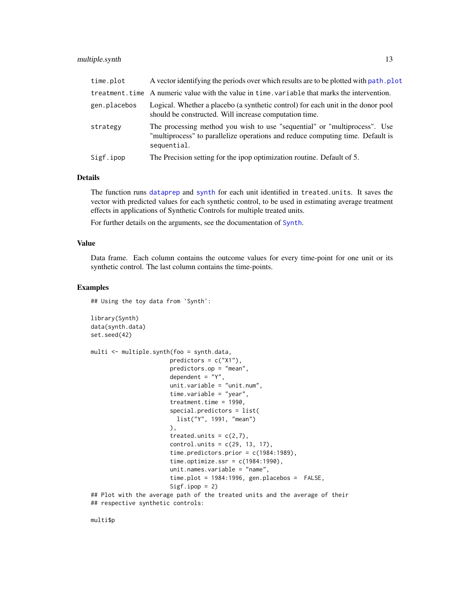#### <span id="page-12-0"></span>multiple.synth 13

| time.plot    | A vector identifying the periods over which results are to be plotted with path. plot                                                                                      |
|--------------|----------------------------------------------------------------------------------------------------------------------------------------------------------------------------|
|              | treatment. time A numeric value with the value in time. variable that marks the intervention.                                                                              |
| gen.placebos | Logical. Whether a placebo (a synthetic control) for each unit in the donor pool<br>should be constructed. Will increase computation time.                                 |
| strategy     | The processing method you wish to use "sequential" or "multiprocess". Use<br>"multiprocess" to parallelize operations and reduce computing time. Default is<br>sequential. |
| Sigf.ipop    | The Precision setting for the ipop optimization routine. Default of 5.                                                                                                     |

#### Details

The function runs [dataprep](#page-0-0) and [synth](#page-0-0) for each unit identified in treated.units. It saves the vector with predicted values for each synthetic control, to be used in estimating average treatment effects in applications of Synthetic Controls for multiple treated units.

For further details on the arguments, see the documentation of [Synth](#page-0-0).

#### Value

Data frame. Each column contains the outcome values for every time-point for one unit or its synthetic control. The last column contains the time-points.

#### Examples

library(Synth)

```
## Using the toy data from 'Synth':
```

```
data(synth.data)
set.seed(42)
multi <- multiple.synth(foo = synth.data,
                      predictors = c("X1"),
                       predictors.op = "mean",
                      dependent = "Y",unit.variable = "unit.num",
                       time.variable = "year",
                      treatment.time = 1990,
                       special.predictors = list(
                        list("Y", 1991, "mean")
                      ),
                       treated.units = c(2,7),
                       control.units = c(29, 13, 17),
                       time.predictors.prior = c(1984:1989),
                       time.optimize.ssr = c(1984:1990),
                       unit.names.variable = "name",
                       time.plot = 1984:1996, gen.placebos = FALSE,
                       Sigf.jpg## Plot with the average path of the treated units and the average of their
## respective synthetic controls:
```
multi\$p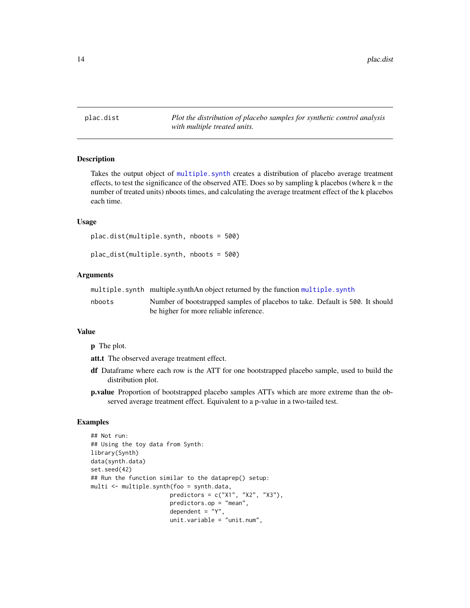<span id="page-13-1"></span><span id="page-13-0"></span>plac.dist *Plot the distribution of placebo samples for synthetic control analysis with multiple treated units.*

#### Description

Takes the output object of [multiple.synth](#page-10-1) creates a distribution of placebo average treatment effects, to test the significance of the observed ATE. Does so by sampling k placebos (where  $k =$  the number of treated units) nboots times, and calculating the average treatment effect of the k placebos each time.

#### Usage

plac.dist(multiple.synth, nboots = 500)

```
plac_dist(multiple.synth, nboots = 500)
```
#### Arguments

|  |  | multiple.synth multiple.synthAn object returned by the function multiple.synth |  |
|--|--|--------------------------------------------------------------------------------|--|
|--|--|--------------------------------------------------------------------------------|--|

nboots Number of bootstrapped samples of placebos to take. Default is 500. It should be higher for more reliable inference.

#### Value

p The plot.

att.t The observed average treatment effect.

- df Dataframe where each row is the ATT for one bootstrapped placebo sample, used to build the distribution plot.
- p.value Proportion of bootstrapped placebo samples ATTs which are more extreme than the observed average treatment effect. Equivalent to a p-value in a two-tailed test.

```
## Not run:
## Using the toy data from Synth:
library(Synth)
data(synth.data)
set.seed(42)
## Run the function similar to the dataprep() setup:
multi <- multiple.synth(foo = synth.data,
                       predictors = c("X1", "X2", "X3"),
                       predictors.op = "mean",
                       dependent = "Y",
                       unit.variable = "unit.num",
```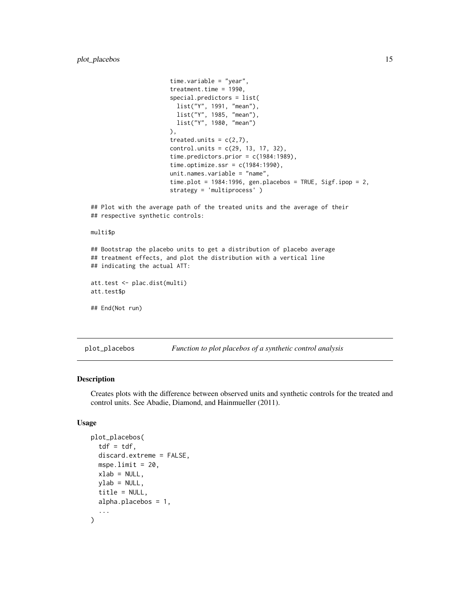```
time.variable = "year",
                       treatment.time = 1990,
                       special.predictors = list(
                         list("Y", 1991, "mean"),
                         list("Y", 1985, "mean"),
                         list("Y", 1980, "mean")
                       ),
                       treated.units = c(2,7),
                       control. units = c(29, 13, 17, 32),
                       time.predictors.prior = c(1984:1989),
                       time.optimize.ssr = c(1984:1990),
                       unit.names.variable = "name",
                       time.plot = 1984:1996, gen.placebos = TRUE, Sigf.ipop = 2,
                       strategy = 'multiprocess' )
## Plot with the average path of the treated units and the average of their
## respective synthetic controls:
multi$p
## Bootstrap the placebo units to get a distribution of placebo average
## treatment effects, and plot the distribution with a vertical line
## indicating the actual ATT:
att.test <- plac.dist(multi)
att.test$p
## End(Not run)
```
<span id="page-14-1"></span>plot\_placebos *Function to plot placebos of a synthetic control analysis*

#### Description

Creates plots with the difference between observed units and synthetic controls for the treated and control units. See Abadie, Diamond, and Hainmueller (2011).

#### Usage

```
plot_placebos(
  tdf = tdf,discard.extreme = FALSE,
  mspe.limit = 20,
  xlab = NULL,
  ylab = NULL,
  title = NULL,
  alpha.placebos = 1,
  ...
)
```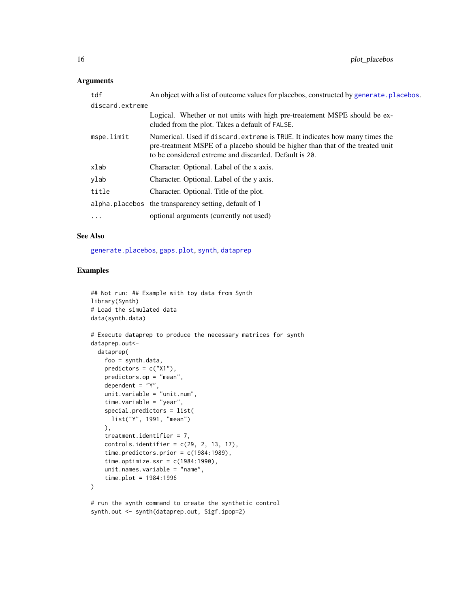#### <span id="page-15-0"></span>Arguments

| tdf             | An object with a list of outcome values for placebos, constructed by generate. placebos.                                                                                                                                 |
|-----------------|--------------------------------------------------------------------------------------------------------------------------------------------------------------------------------------------------------------------------|
| discard.extreme |                                                                                                                                                                                                                          |
|                 | Logical. Whether or not units with high pre-treatement MSPE should be ex-<br>cluded from the plot. Takes a default of FALSE.                                                                                             |
| mspe.limit      | Numerical. Used if discard. extreme is TRUE. It indicates how many times the<br>pre-treatment MSPE of a placebo should be higher than that of the treated unit<br>to be considered extreme and discarded. Default is 20. |
| xlab            | Character. Optional. Label of the x axis.                                                                                                                                                                                |
| vlab            | Character. Optional. Label of the y axis.                                                                                                                                                                                |
| title           | Character. Optional. Title of the plot.                                                                                                                                                                                  |
|                 | alpha. placebos the transparency setting, default of 1                                                                                                                                                                   |
| $\cdots$        | optional arguments (currently not used)                                                                                                                                                                                  |
|                 |                                                                                                                                                                                                                          |

#### See Also

[generate.placebos](#page-3-1), [gaps.plot](#page-0-0), [synth](#page-0-0), [dataprep](#page-0-0)

```
## Not run: ## Example with toy data from Synth
library(Synth)
# Load the simulated data
data(synth.data)
# Execute dataprep to produce the necessary matrices for synth
dataprep.out<-
  dataprep(
   foo = synth.data,
   predictors = c("X1"),
   predictors.op = "mean",
   dependent = "Y",
   unit.variable = "unit.num",
   time.variable = "year",
   special.predictors = list(
     list("Y", 1991, "mean")
   ),
   treatment.identifier = 7,
   controls.identifier = c(29, 2, 13, 17),time.predictors.prior = c(1984:1989),
   time.optimize.ssr = c(1984:1990),
   unit.names.variable = "name",
    time.plot = 1984:1996
\lambda# run the synth command to create the synthetic control
```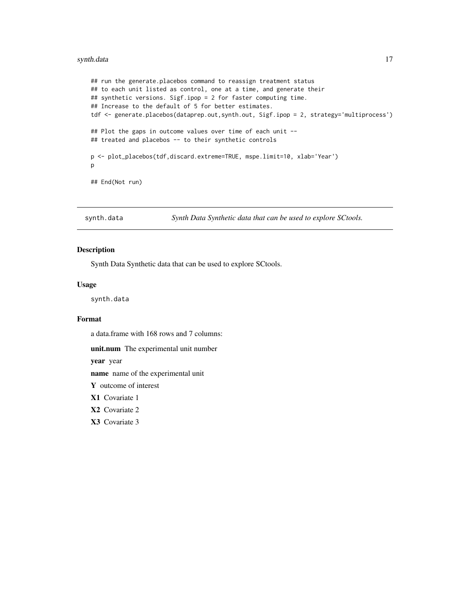#### <span id="page-16-0"></span>synth.data 17

```
## run the generate.placebos command to reassign treatment status
## to each unit listed as control, one at a time, and generate their
## synthetic versions. Sigf.ipop = 2 for faster computing time.
## Increase to the default of 5 for better estimates.
tdf <- generate.placebos(dataprep.out,synth.out, Sigf.ipop = 2, strategy='multiprocess')
## Plot the gaps in outcome values over time of each unit --
## treated and placebos -- to their synthetic controls
p <- plot_placebos(tdf,discard.extreme=TRUE, mspe.limit=10, xlab='Year')
p
## End(Not run)
```
synth.data *Synth Data Synthetic data that can be used to explore SCtools.*

#### Description

Synth Data Synthetic data that can be used to explore SCtools.

#### Usage

synth.data

#### Format

a data.frame with 168 rows and 7 columns:

unit.num The experimental unit number

year year

name name of the experimental unit

Y outcome of interest

X1 Covariate 1

X2 Covariate 2

X3 Covariate 3